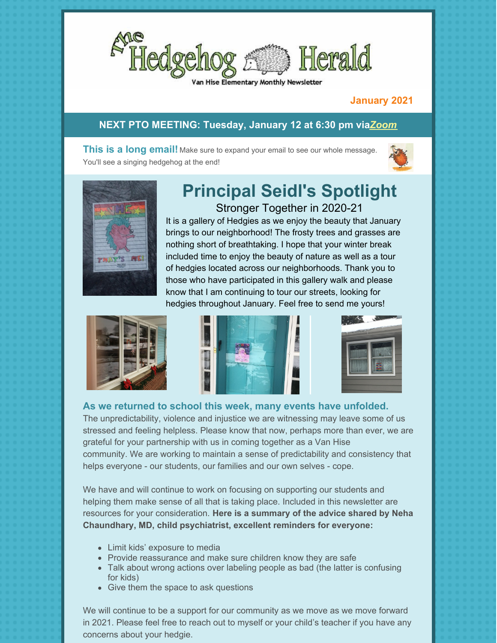

#### Hise Elementary Monthly Newsletter

#### **January 2021**

#### **NEXT PTO MEETING: Tuesday, January 12 at 6:30 pm via***[Zoom](https://us02web.zoom.us/j/86956046342?pwd=ZEc2L08vcG9QeWFDdHZLeTBwU0Nzdz09)*

**This is a long email!** Make sure to expand your email to see our whole message. You'll see a singing hedgehog at the end!





# **Principal Seidl's Spotlight** Stronger Together in 2020-21

It is a gallery of Hedgies as we enjoy the beauty that January brings to our neighborhood! The frosty trees and grasses are nothing short of breathtaking. I hope that your winter break included time to enjoy the beauty of nature as well as a tour of hedgies located across our neighborhoods. Thank you to those who have participated in this gallery walk and please know that I am continuing to tour our streets, looking for hedgies throughout January. Feel free to send me yours!







**As we returned to school this week, many events have unfolded.**

The unpredictability, violence and injustice we are witnessing may leave some of us stressed and feeling helpless. Please know that now, perhaps more than ever, we are grateful for your partnership with us in coming together as a Van Hise community. We are working to maintain a sense of predictability and consistency that helps everyone - our students, our families and our own selves - cope.

We have and will continue to work on focusing on supporting our students and helping them make sense of all that is taking place. Included in this newsletter are resources for your consideration. **Here is a summary of the advice shared by Neha Chaundhary, MD, child psychiatrist, excellent reminders for everyone:**

- Limit kids' exposure to media
- Provide reassurance and make sure children know they are safe
- Talk about wrong actions over labeling people as bad (the latter is confusing for kids)
- Give them the space to ask questions

We will continue to be a support for our community as we move as we move forward in 2021. Please feel free to reach out to myself or your child's teacher if you have any concerns about your hedgie.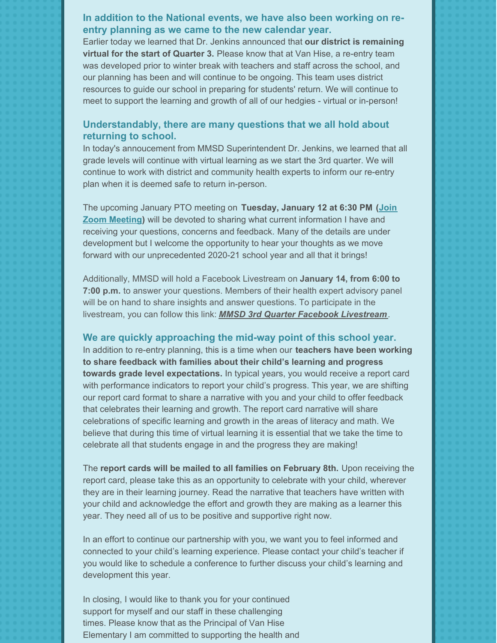#### **In addition to the National events, we have also been working on reentry planning as we came to the new calendar year.**

Earlier today we learned that Dr. Jenkins announced that **our district is remaining virtual for the start of Quarter 3.** Please know that at Van Hise, a re-entry team was developed prior to winter break with teachers and staff across the school, and our planning has been and will continue to be ongoing. This team uses district resources to guide our school in preparing for students' return. We will continue to meet to support the learning and growth of all of our hedgies - virtual or in-person!

#### **Understandably, there are many questions that we all hold about returning to school.**

In today's annoucement from MMSD Superintendent Dr. Jenkins, we learned that all grade levels will continue with virtual learning as we start the 3rd quarter. We will continue to work with district and community health experts to inform our re-entry plan when it is deemed safe to return in-person.

The upcoming January PTO meeting on **Tuesday, January 12 at 6:30 PM (Join Zoom Meeting)** will be devoted to sharing what current [information](https://us02web.zoom.us/j/86956046342?pwd=ZEc2L08vcG9QeWFDdHZLeTBwU0Nzdz09) I have and receiving your questions, concerns and feedback. Many of the details are under development but I welcome the opportunity to hear your thoughts as we move forward with our unprecedented 2020-21 school year and all that it brings!

Additionally, MMSD will hold a Facebook Livestream on **January 14, from 6:00 to 7:00 p.m.** to answer your questions. Members of their health expert advisory panel will be on hand to share insights and answer questions. To participate in the livestream, you can follow this link: *MMSD 3rd Quarter Facebook [Livestream](http://track.spe.schoolmessenger.com/f/a/8NDzMzTusRBI3lLVDDc5xg~~/AAAAAQA~/RgRh2ZleP0QYaHR0cHM6Ly9mYi5tZS9lL0dxSGY3SGN0VwdzY2hvb2xtQgpf9t5l-F8Ek1FBUhBlY3VzaWNAZ21haWwuY29tWAQAAAAB)*.

#### **We are quickly approaching the mid-way point of this school year.**

In addition to re-entry planning, this is a time when our **teachers have been working to share feedback with families about their child's learning and progress towards grade level expectations.** In typical years, you would receive a report card with performance indicators to report your child's progress. This year, we are shifting our report card format to share a narrative with you and your child to offer feedback that celebrates their learning and growth. The report card narrative will share celebrations of specific learning and growth in the areas of literacy and math. We believe that during this time of virtual learning it is essential that we take the time to celebrate all that students engage in and the progress they are making!

The **report cards will be mailed to all families on February 8th.** Upon receiving the report card, please take this as an opportunity to celebrate with your child, wherever they are in their learning journey. Read the narrative that teachers have written with your child and acknowledge the effort and growth they are making as a learner this year. They need all of us to be positive and supportive right now.

In an effort to continue our partnership with you, we want you to feel informed and connected to your child's learning experience. Please contact your child's teacher if you would like to schedule a conference to further discuss your child's learning and development this year.

In closing, I would like to thank you for your continued support for myself and our staff in these challenging times. Please know that as the Principal of Van Hise Elementary I am committed to supporting the health and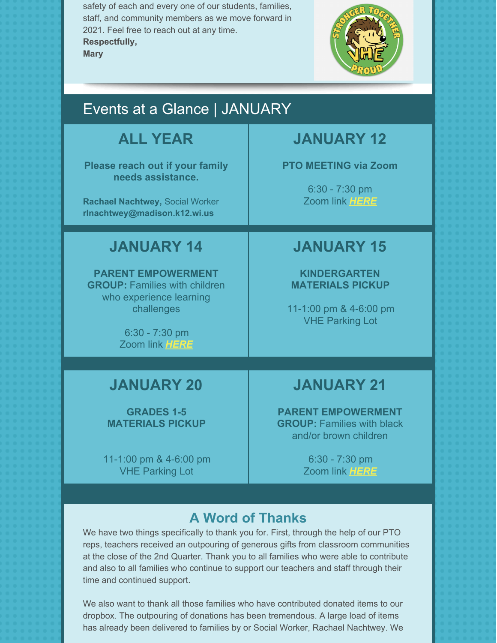safety of each and every one of our students, families, staff, and community members as we move forward in 2021. Feel free to reach out at any time. **Respectfully, Mary**



# Events at a Glance | JANUARY

# **ALL YEAR**

**Please reach out if your family needs assistance.**

**Rachael Nachtwey,** Social Worker **[rlnachtwey@madison.k12.wi.us](mailto:rlnachtwey@madison.k12.wi.us)**

# **JANUARY 14**

**PARENT EMPOWERMENT GROUP:** Families with children who experience learning challenges

> 6:30 - 7:30 pm Zoom link *[HERE](https://zoom.us/j/97186141188#success)*

# **JANUARY 12**

**PTO MEETING via Zoom**

6:30 - 7:30 pm Zoom link *[HERE](https://us02web.zoom.us/j/86956046342?pwd=ZEc2L08vcG9QeWFDdHZLeTBwU0Nzdz09)*

# **JANUARY 15**

**KINDERGARTEN MATERIALS PICKUP**

11-1:00 pm & 4-6:00 pm VHE Parking Lot

## **JANUARY 20**

**GRADES 1-5 MATERIALS PICKUP**

11-1:00 pm & 4-6:00 pm VHE Parking Lot

# **JANUARY 21**

**PARENT EMPOWERMENT GROUP:** Families with black and/or brown children

> 6:30 - 7:30 pm Zoom link *[HERE](https://zoom.us/j/91012527454#success)*

## **A Word of Thanks**

We have two things specifically to thank you for. First, through the help of our PTO reps, teachers received an outpouring of generous gifts from classroom communities at the close of the 2nd Quarter. Thank you to all families who were able to contribute and also to all families who continue to support our teachers and staff through their time and continued support.

We also want to thank all those families who have contributed donated items to our dropbox. The outpouring of donations has been tremendous. A large load of items has already been delivered to families by or Social Worker, Rachael Nachtwey. We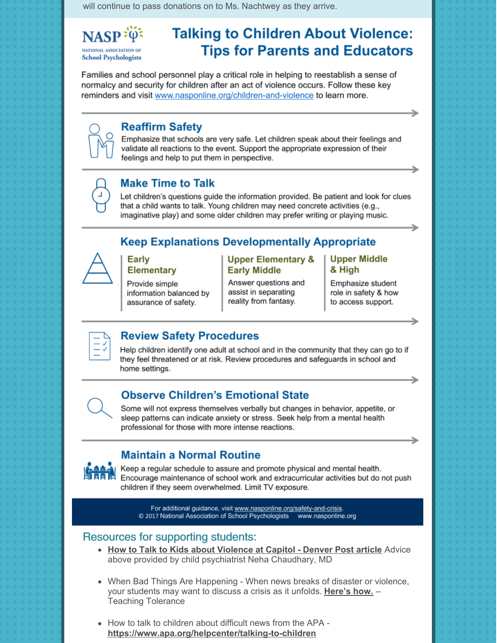will continue to pass donations on to Ms. Nachtwey as they arrive.

NASP<sup>:03</sup> **NATIONAL ASSOCIATION OF School Psychologists** 

# **Talking to Children About Violence: Tips for Parents and Educators**

Families and school personnel play a critical role in helping to reestablish a sense of normalcy and security for children after an act of violence occurs. Follow these key reminders and visit www.nasponline.org/children-and-violence to learn more.

## **Reaffirm Safety**

Emphasize that schools are very safe. Let children speak about their feelings and validate all reactions to the event. Support the appropriate expression of their feelings and help to put them in perspective.

## **Make Time to Talk**

Let children's questions guide the information provided. Be patient and look for clues that a child wants to talk. Young children may need concrete activities (e.g., imaginative play) and some older children may prefer writing or playing music.

## **Keep Explanations Developmentally Appropriate**



#### **Early Elementary**

Provide simple information balanced by assurance of safety.

#### **Upper Elementary & Early Middle**

Answer questions and assist in separating reality from fantasy.

#### **Upper Middle** & High

Emphasize student role in safety & how to access support.



## **Review Safety Procedures**

Help children identify one adult at school and in the community that they can go to if they feel threatened or at risk. Review procedures and safeguards in school and home settings.

## **Observe Children's Emotional State**

Some will not express themselves verbally but changes in behavior, appetite, or sleep patterns can indicate anxiety or stress. Seek help from a mental health professional for those with more intense reactions.

**Maintain a Normal Routine** Keep a regular schedule to assure and promote physical and mental health. Encourage maintenance of school work and extracurricular activities but do not push

children if they seem overwhelmed. Limit TV exposure.

For additional guidance, visit www.nasponline.org/safety-and-crisis. © 2017 National Association of School Psychologists www.nasponline.org

## **Resources for supporting students:**

- How to Talk to Kids about Violence at Capitol Denver Post article Advice above provided by child psychiatrist Neha Chaudhary, MD
- When Bad Things Are Happening When news breaks of disaster or violence, your students may want to discuss a crisis as it unfolds. Here's how. -**Teaching Tolerance**
- How to talk to children about difficult news from the APA https://www.apa.org/helpcenter/talking-to-children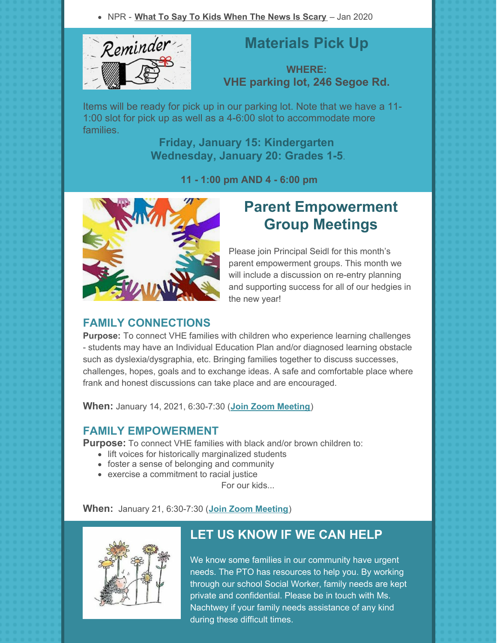NPR - **What To Say To Kids [When](https://www.npr.org/2019/04/24/716704917/when-the-news-is-scary-what-to-say-to-kids) The News Is Scary** – Jan 2020



# **Materials Pick Up**

**WHERE: VHE parking lot, 246 Segoe Rd.**

Items will be ready for pick up in our parking lot. Note that we have a 11- 1:00 slot for pick up as well as a 4-6:00 slot to accommodate more families.

> **Friday, January 15: Kindergarten Wednesday, January 20: Grades 1-5**.

> > **11 - 1:00 pm AND 4 - 6:00 pm**



# **Parent Empowerment Group Meetings**

Please join Principal Seidl for this month's parent empowerment groups. This month we will include a discussion on re-entry planning and supporting success for all of our hedgies in the new year!

## **FAMILY CONNECTIONS**

**Purpose:** To connect VHE families with children who experience learning challenges - students may have an Individual Education Plan and/or diagnosed learning obstacle such as dyslexia/dysgraphia, etc. Bringing families together to discuss successes, challenges, hopes, goals and to exchange ideas. A safe and comfortable place where frank and honest discussions can take place and are encouraged.

**When:** January 14, 2021, 6:30-7:30 (**Join Zoom [Meeting](https://zoom.us/j/97186141188)**)

### **FAMILY EMPOWERMENT**

**Purpose:** To connect VHE families with black and/or brown children to:

- lift voices for historically marginalized students
- foster a sense of belonging and community
- exercise a commitment to racial justice

For our kids...

#### **When:** January 21, 6:30-7:30 (**Join Zoom [Meeting](https://zoom.us/j/91012527454)**)



## **LET US KNOW IF WE CAN HELP**

We know some families in our community have urgent needs. The PTO has resources to help you. By working through our school Social Worker, family needs are kept private and confidential. Please be in touch with Ms. Nachtwey if your family needs assistance of any kind during these difficult times.